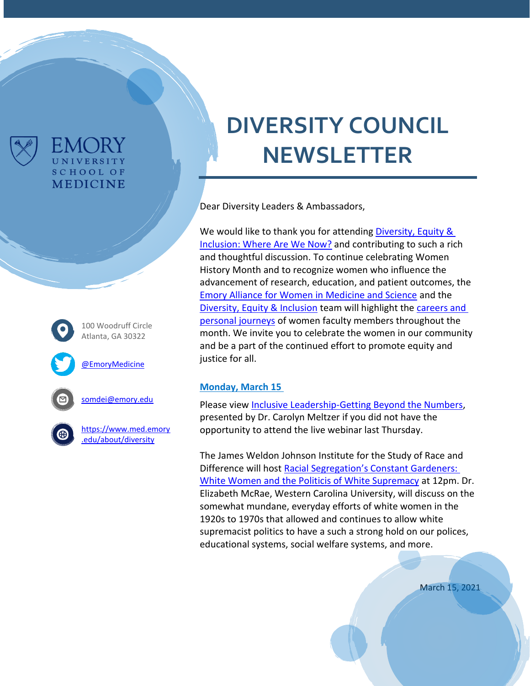

# 100 Woodruff Circle Atlanta, GA 30322 [@EmoryMedicine](https://twitter.com/EmoryMedicine) [somdei@emory.edu](https://emory-my.sharepoint.com/personal/dtcamp3_emory_edu/Documents/DEI%20Internal%20Communication/Diversity%20Council%20Newsletters/somdei@emory.edu)

UNIVERSITY **SCHOOL OF MEDICINE** 

> [https://www.med.emory](https://www.med.emory.edu/about/diversity) [.edu/about/diversity](https://www.med.emory.edu/about/diversity)

# **DIVERSITY COUNCIL NEWSLETTER**

Dear Diversity Leaders & Ambassadors,

We would like to thank you for attending Diversity, Equity & [Inclusion: Where Are We Now?](https://www.med.emory.edu/about/diversity/index.html) and contributing to such a rich and thoughtful discussion. To continue celebrating Women History Month and to recognize women who influence the advancement of research, education, and patient outcomes, the [Emory Alliance for Women in Medicine and Science](https://www.med.emory.edu/about/faculty/faculty-development/career-development/emory-alliance-for-women-in-medicine/index.htmlhttps:/www.med.emory.edu/about/faculty/faculty-development/career-development/emory-alliance-for-women-in-medicine/index.html) and the [Diversity, Equity & Inclusion](https://www.med.emory.edu/about/diversity/index.html) team will highlight the [careers and](https://sway.office.com/OwXFw1deJcoVgf4n?ref=Link&loc=play)  [personal journeys](https://sway.office.com/OwXFw1deJcoVgf4n?ref=Link&loc=play) of women faculty members throughout the month. We invite you to celebrate the women in our community and be a part of the continued effort to promote equity and justice for all.

#### **Monday, March 15**

Please view [Inclusive Leadership-Getting Beyond the Numbers,](https://nam11.safelinks.protection.outlook.com/?url=https%3A%2F%2Fyoutu.be%2FQixdr0zy32c&data=04%7C01%7Cdejoron.t.campbell%40emory.edu%7C9d35b21840c645b7047f08d8e56402d0%7Ce004fb9cb0a4424fbcd0322606d5df38%7C0%7C0%7C637511565008859128%7CUnknown%7CTWFpbGZsb3d8eyJWIjoiMC4wLjAwMDAiLCJQIjoiV2luMzIiLCJBTiI6Ik1haWwiLCJXVCI6Mn0%3D%7C1000&sdata=4zgDE6Utt1zLjWq8NfND0QX32hWigVuONMU98pAgwLY%3D&reserved=0) presented by Dr. Carolyn Meltzer if you did not have the opportunity to attend the live webinar last Thursday.

The James Weldon Johnson Institute for the Study of Race and Difference will host [Racial Segregation's Con](http://jamesweldonjohnson.emory.edu/home/colloquium/index.html?trumbaEmbed=eventid%3D150426205%26seotitle%3DRacial-Segregations-Constant-Gardeners-White-Women-and-the-Politics-of-White-Supremacy%26view%3Devent%26-childview%3D)stant Gardeners: [White Women and the Politicis of White Supremacy](http://jamesweldonjohnson.emory.edu/home/colloquium/index.html?trumbaEmbed=eventid%3D150426205%26seotitle%3DRacial-Segregations-Constant-Gardeners-White-Women-and-the-Politics-of-White-Supremacy%26view%3Devent%26-childview%3D) at 12pm. Dr. Elizabeth McRae, Western Carolina University, will discuss on the somewhat mundane, everyday efforts of white women in the 1920s to 1970s that allowed and continues to allow white supremacist politics to have a such a strong hold on our polices, educational systems, social welfare systems, and more.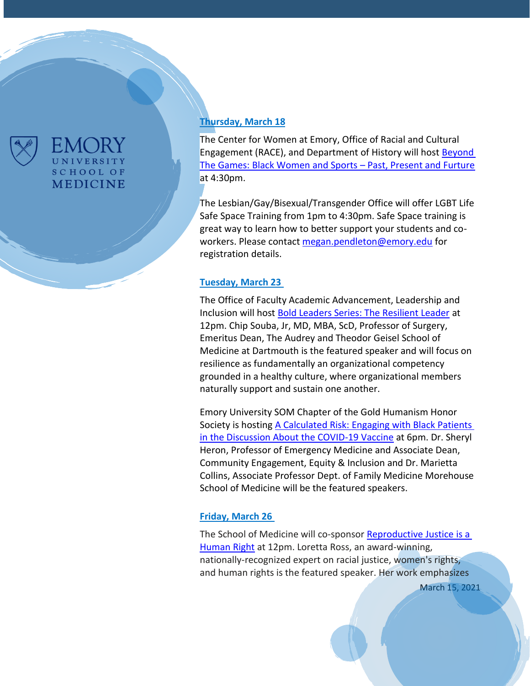

## **UNIVERSITY SCHOOL OF MEDICINE**

### **Thursday, March 18**

The Center for Women at Emory, Office of Racial and Cultural Engagement (RACE), and Department of History will host **Beyond** [The Games: Black Women and Sports](https://emory.zoom.us/webinar/register/WN_vtuZjlLVS0qYKBktc3WORA) – Past, Present and Furture at 4:30pm.

The Lesbian/Gay/Bisexual/Transgender Office will offer LGBT Life Safe Space Training from 1pm to 4:30pm. Safe Space training is great way to learn how to better support your students and coworkers. Please contact [megan.pendleton@emory.edu](mailto:megan.pendleton@emory.edu) for registration details.

#### **Tuesday, March 23**

The Office of Faculty Academic Advancement, Leadership and Inclusion will host [Bold Leaders Series: The Resilient Leader](https://eventactions.com/eareg.aspx?ea=Rsvp&invite=04pmn3bbjp30dk9nhwedrcv72uyy0mk6kj5tey5y9k36wudnt717) at 12pm. Chip Souba, Jr, MD, MBA, ScD, Professor of Surgery, Emeritus Dean, The Audrey and Theodor Geisel School of Medicine at Dartmouth is the featured speaker and will focus on resilience as fundamentally an organizational competency grounded in a healthy culture, where organizational members naturally support and sustain one another.

Emory University SOM Chapter of the Gold Humanism Honor Society is hostin[g A Calculated Risk: Engaging with Black Patients](https://docs.google.com/forms/d/e/1FAIpQLSczqFya6ZS0zC4OujTQlI1NCsazF9em8dAEvmh2PBDKeHoHJQ/viewform)  [in the Discussion About the COVID-19 Vaccine](https://docs.google.com/forms/d/e/1FAIpQLSczqFya6ZS0zC4OujTQlI1NCsazF9em8dAEvmh2PBDKeHoHJQ/viewform) at 6pm. Dr. Sheryl Heron, Professor of Emergency Medicine and Associate Dean, Community Engagement, Equity & Inclusion and Dr. Marietta Collins, Associate Professor Dept. of Family Medicine Morehouse School of Medicine will be the featured speakers.

### **Friday, March 26**

The School of Medicine will co-sponsor [Reproductive](https://eventactions.com/eareg.aspx?ea=Rsvp&invite=ggay8rxaayn7tbzcuaj2nv4e8xdbpgcxv10vvrsc1kx8s3ezzvfp) Justice is a [Human](https://eventactions.com/eareg.aspx?ea=Rsvp&invite=ggay8rxaayn7tbzcuaj2nv4e8xdbpgcxv10vvrsc1kx8s3ezzvfp) Right at 12pm. Loretta Ross, an award-winning, nationally-recognized expert on racial justice, women's rights, and human rights is the featured speaker. Her work emphasizes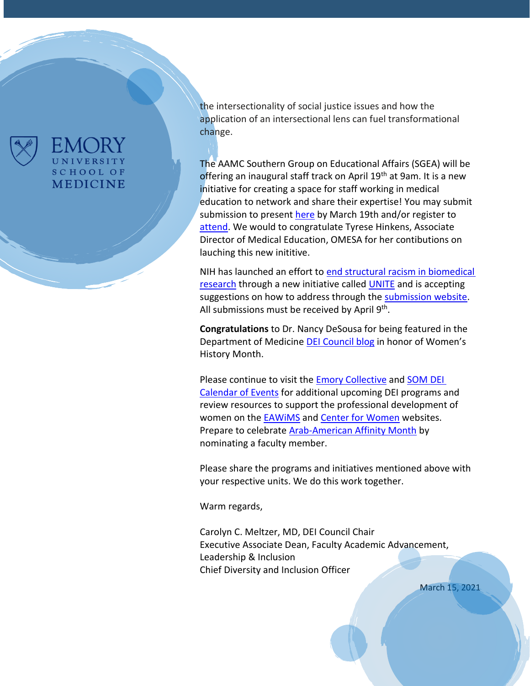

## **UNIVERSITY SCHOOL OF MEDICINE**

the intersectionality of social justice issues and how the application of an intersectional lens can fuel transformational change.

The AAMC Southern Group on Educational Affairs (SGEA) will be offering an inaugural staff track on April 19th at 9am. It is a new initiative for creating a space for staff working in medical education to network and share their expertise! You may submit submission to present [here](https://airtable.com/shrwMIXRtgylvhg7f) by March 19th and/or register to [attend.](https://airtable.com/shrWiqdzRMeRTXMvX) We would to congratulate Tyrese Hinkens, Associate Director of Medical Education, OMESA for her contibutions on lauching this new inititive.

NIH has launched an effort to [end structural racism in biomedical](https://nam11.safelinks.protection.outlook.com/?url=https%3A%2F%2Flnks.gd%2Fl%2FeyJhbGciOiJIUzI1NiJ9.eyJidWxsZXRpbl9saW5rX2lkIjoxMDEsInVyaSI6ImJwMjpjbGljayIsImJ1bGxldGluX2lkIjoiMjAyMTAzMDIuMzYyMTM5MDEiLCJ1cmwiOiJodHRwOi8vd3d3Lm5paC5nb3YvZW5kaW5nLXN0cnVjdHVyYWwtcmFjaXNtP3V0bV9jYW1wYWlnbj11bml0ZSZ1dG1fbWVkaXVtPWVtYWlsJnV0bV9zb3VyY2U9Z292ZGVsaXZlcnkifQ.BDpOFjlpwDU1lbYZMB9_MxCE4Hbu9QXklABICEcfydw%2Fs%2F772595852%2Fbr%2F98745270010-l&data=04%7C01%7Cdejoron.t.campbell%40emory.edu%7C709c317240aa44bc0a5708d8ddd5b761%7Ce004fb9cb0a4424fbcd0322606d5df38%7C0%7C0%7C637503257259948537%7CUnknown%7CTWFpbGZsb3d8eyJWIjoiMC4wLjAwMDAiLCJQIjoiV2luMzIiLCJBTiI6Ik1haWwiLCJXVCI6Mn0%3D%7C1000&sdata=LTB2X%2BRHzZDD5TpDeQlFXMZEXkp%2B3%2F72MGEq%2FHyBEHw%3D&reserved=0)  [research](https://nam11.safelinks.protection.outlook.com/?url=https%3A%2F%2Flnks.gd%2Fl%2FeyJhbGciOiJIUzI1NiJ9.eyJidWxsZXRpbl9saW5rX2lkIjoxMDEsInVyaSI6ImJwMjpjbGljayIsImJ1bGxldGluX2lkIjoiMjAyMTAzMDIuMzYyMTM5MDEiLCJ1cmwiOiJodHRwOi8vd3d3Lm5paC5nb3YvZW5kaW5nLXN0cnVjdHVyYWwtcmFjaXNtP3V0bV9jYW1wYWlnbj11bml0ZSZ1dG1fbWVkaXVtPWVtYWlsJnV0bV9zb3VyY2U9Z292ZGVsaXZlcnkifQ.BDpOFjlpwDU1lbYZMB9_MxCE4Hbu9QXklABICEcfydw%2Fs%2F772595852%2Fbr%2F98745270010-l&data=04%7C01%7Cdejoron.t.campbell%40emory.edu%7C709c317240aa44bc0a5708d8ddd5b761%7Ce004fb9cb0a4424fbcd0322606d5df38%7C0%7C0%7C637503257259948537%7CUnknown%7CTWFpbGZsb3d8eyJWIjoiMC4wLjAwMDAiLCJQIjoiV2luMzIiLCJBTiI6Ik1haWwiLCJXVCI6Mn0%3D%7C1000&sdata=LTB2X%2BRHzZDD5TpDeQlFXMZEXkp%2B3%2F72MGEq%2FHyBEHw%3D&reserved=0) through a new initiative called [UNITE](https://nam11.safelinks.protection.outlook.com/?url=https%3A%2F%2Flnks.gd%2Fl%2FeyJhbGciOiJIUzI1NiJ9.eyJidWxsZXRpbl9saW5rX2lkIjoxMDIsInVyaSI6ImJwMjpjbGljayIsImJ1bGxldGluX2lkIjoiMjAyMTAzMDIuMzYyMTM5MDEiLCJ1cmwiOiJodHRwczovL3d3dy5uaWguZ292L2VuZGluZy1zdHJ1Y3R1cmFsLXJhY2lzbS91bml0ZT91dG1fY2FtcGFpZ249dW5pdGUmdXRtX21lZGl1bT1lbWFpbCZ1dG1fc291cmNlPWdvdmRlbGl2ZXJ5In0.aLHREtKy47toN6ObPcHRKm4yv4FcWXN4XXrJ2aIh1LY%2Fs%2F772595852%2Fbr%2F98745270010-l&data=04%7C01%7Cdejoron.t.campbell%40emory.edu%7C709c317240aa44bc0a5708d8ddd5b761%7Ce004fb9cb0a4424fbcd0322606d5df38%7C0%7C0%7C637503257259958535%7CUnknown%7CTWFpbGZsb3d8eyJWIjoiMC4wLjAwMDAiLCJQIjoiV2luMzIiLCJBTiI6Ik1haWwiLCJXVCI6Mn0%3D%7C1000&sdata=v%2FjHKAzA0TIpS%2BgbrFPVFFnZsA45VsLtlch2avFbibE%3D&reserved=0) and is accepting suggestions on how to address through the [submission website.](https://nam11.safelinks.protection.outlook.com/?url=https%3A%2F%2Flnks.gd%2Fl%2FeyJhbGciOiJIUzI1NiJ9.eyJidWxsZXRpbl9saW5rX2lkIjoxMDUsInVyaSI6ImJwMjpjbGljayIsImJ1bGxldGluX2lkIjoiMjAyMTAzMDIuMzYyMTM5MDEiLCJ1cmwiOiJodHRwczovL3JmaS5ncmFudHMubmloLmdvdi8_cz02MDFkNzM3Y2I1MGEwMDAwNzQwMDM4YTImdXRtX2NhbXBhaWduPXVuaXRlJnV0bV9tZWRpdW09ZW1haWwmdXRtX3NvdXJjZT1nb3ZkZWxpdmVyeSJ9.M274lqikA7xbhmVtlHks3ErAiX6jI8Ija0Rn6t9fCSQ%2Fs%2F772595852%2Fbr%2F98745270010-l&data=04%7C01%7Cdejoron.t.campbell%40emory.edu%7C709c317240aa44bc0a5708d8ddd5b761%7Ce004fb9cb0a4424fbcd0322606d5df38%7C0%7C0%7C637503257259968526%7CUnknown%7CTWFpbGZsb3d8eyJWIjoiMC4wLjAwMDAiLCJQIjoiV2luMzIiLCJBTiI6Ik1haWwiLCJXVCI6Mn0%3D%7C1000&sdata=NVBy9KucRz9MPa%2Fv35EjKR9zDdORpgR1tCdHdinS6xM%3D&reserved=0) All submissions must be received by April 9<sup>th</sup>.

**Congratulations** to Dr. Nancy DeSousa for being featured in the Department of Medicine [DEI Council blog](http://www.emorydailypulse.com/2021/03/08/dei-council-spotlight-nancy-desousa/) in honor of Women's History Month.

Please continue to visit the **Emory Collective and SOM DEI** [Calendar of Events](https://med.emory.edu/about/events/index.html#Diversity%20Equity%20and%20Inclusion) for additional upcoming DEI programs and review resources to support the professional development of women on the **EAWIMS** and **Center for Women** websites. Prepare to celebrate [Arab-American Affinity Month](https://www.med.emory.edu/about/diversity/affinity_months.html) by nominating a faculty member.

Please share the programs and initiatives mentioned above with your respective units. We do this work together.

Warm regards,

Carolyn C. Meltzer, MD, DEI Council Chair Executive Associate Dean, Faculty Academic Advancement, Leadership & Inclusion Chief Diversity and Inclusion Officer